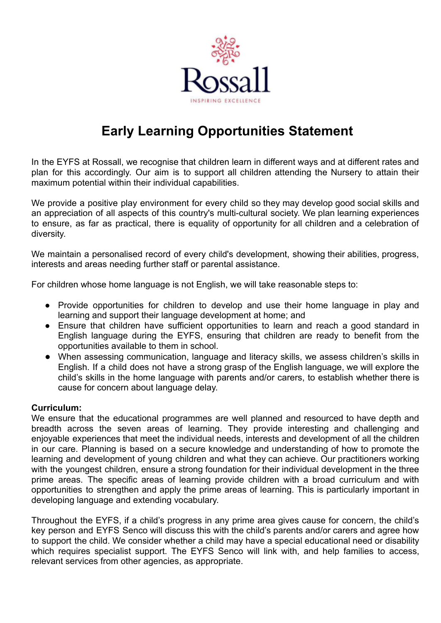

# **Early Learning Opportunities Statement**

In the EYFS at Rossall, we recognise that children learn in different ways and at different rates and plan for this accordingly. Our aim is to support all children attending the Nursery to attain their maximum potential within their individual capabilities.

We provide a positive play environment for every child so they may develop good social skills and an appreciation of all aspects of this country's multi-cultural society. We plan learning experiences to ensure, as far as practical, there is equality of opportunity for all children and a celebration of diversity.

We maintain a personalised record of every child's development, showing their abilities, progress, interests and areas needing further staff or parental assistance.

For children whose home language is not English, we will take reasonable steps to:

- Provide opportunities for children to develop and use their home language in play and learning and support their language development at home; and
- Ensure that children have sufficient opportunities to learn and reach a good standard in English language during the EYFS, ensuring that children are ready to benefit from the opportunities available to them in school.
- When assessing communication, language and literacy skills, we assess children's skills in English. If a child does not have a strong grasp of the English language, we will explore the child's skills in the home language with parents and/or carers, to establish whether there is cause for concern about language delay.

### **Curriculum:**

We ensure that the educational programmes are well planned and resourced to have depth and breadth across the seven areas of learning. They provide interesting and challenging and enjoyable experiences that meet the individual needs, interests and development of all the children in our care. Planning is based on a secure knowledge and understanding of how to promote the learning and development of young children and what they can achieve. Our practitioners working with the youngest children, ensure a strong foundation for their individual development in the three prime areas. The specific areas of learning provide children with a broad curriculum and with opportunities to strengthen and apply the prime areas of learning. This is particularly important in developing language and extending vocabulary.

Throughout the EYFS, if a child's progress in any prime area gives cause for concern, the child's key person and EYFS Senco will discuss this with the child's parents and/or carers and agree how to support the child. We consider whether a child may have a special educational need or disability which requires specialist support. The EYFS Senco will link with, and help families to access, relevant services from other agencies, as appropriate.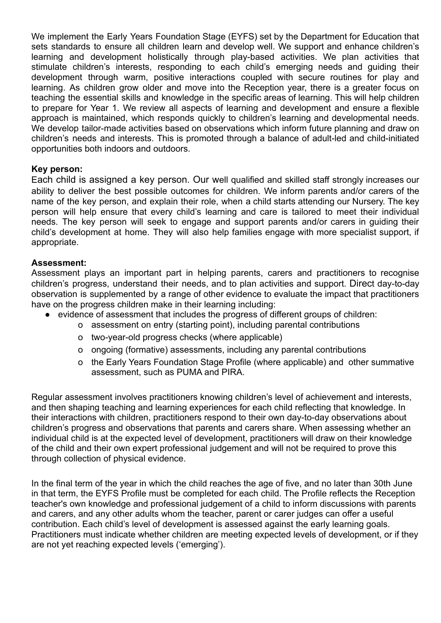We implement the Early Years Foundation Stage (EYFS) set by the Department for Education that sets standards to ensure all children learn and develop well. We support and enhance children's learning and development holistically through play-based activities. We plan activities that stimulate children's interests, responding to each child's emerging needs and guiding their development through warm, positive interactions coupled with secure routines for play and learning. As children grow older and move into the Reception year, there is a greater focus on teaching the essential skills and knowledge in the specific areas of learning. This will help children to prepare for Year 1. We review all aspects of learning and development and ensure a flexible approach is maintained, which responds quickly to children's learning and developmental needs. We develop tailor-made activities based on observations which inform future planning and draw on children's needs and interests. This is promoted through a balance of adult-led and child-initiated opportunities both indoors and outdoors.

### **Key person:**

Each child is assigned a key person. Our well qualified and skilled staff strongly increases our ability to deliver the best possible outcomes for children. We inform parents and/or carers of the name of the key person, and explain their role, when a child starts attending our Nursery. The key person will help ensure that every child's learning and care is tailored to meet their individual needs. The key person will seek to engage and support parents and/or carers in guiding their child's development at home. They will also help families engage with more specialist support, if appropriate.

## **Assessment:**

Assessment plays an important part in helping parents, carers and practitioners to recognise children's progress, understand their needs, and to plan activities and support. Direct day-to-day observation is supplemented by a range of other evidence to evaluate the impact that practitioners have on the progress children make in their learning including:

- evidence of assessment that includes the progress of different groups of children:
	- o assessment on entry (starting point), including parental contributions
	- o two-year-old progress checks (where applicable)
	- o ongoing (formative) assessments, including any parental contributions
	- o the Early Years Foundation Stage Profile (where applicable) and other summative assessment, such as PUMA and PIRA.

Regular assessment involves practitioners knowing children's level of achievement and interests, and then shaping teaching and learning experiences for each child reflecting that knowledge. In their interactions with children, practitioners respond to their own day-to-day observations about children's progress and observations that parents and carers share. When assessing whether an individual child is at the expected level of development, practitioners will draw on their knowledge of the child and their own expert professional judgement and will not be required to prove this through collection of physical evidence.

In the final term of the year in which the child reaches the age of five, and no later than 30th June in that term, the EYFS Profile must be completed for each child. The Profile reflects the Reception teacher's own knowledge and professional judgement of a child to inform discussions with parents and carers, and any other adults whom the teacher, parent or carer judges can offer a useful contribution. Each child's level of development is assessed against the early learning goals. Practitioners must indicate whether children are meeting expected levels of development, or if they are not yet reaching expected levels ('emerging').